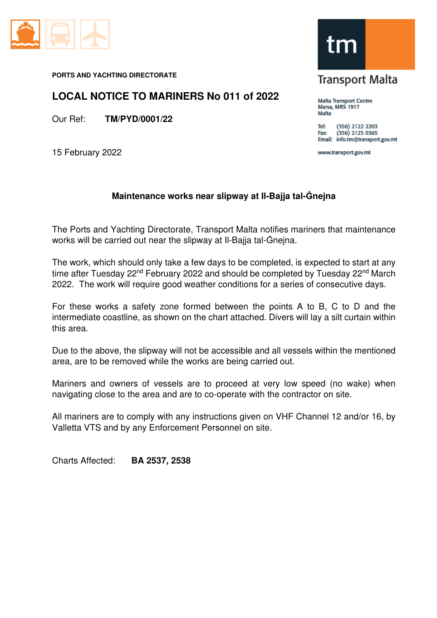

**PORTS AND YACHTING DIRECTORATE** 

## **LOCAL NOTICE TO MARINERS No 011 of 2022**

Our Ref: **TM/PYD/0001/22** 

15 February 2022

## **Maintenance works near slipway at Il-Bajja tal-Ġnejna**

The Ports and Yachting Directorate, Transport Malta notifies mariners that maintenance works will be carried out near the slipway at Il-Bajja tal-Ġnejna.

The work, which should only take a few days to be completed, is expected to start at any time after Tuesday 22<sup>nd</sup> February 2022 and should be completed by Tuesday 22<sup>nd</sup> March 2022. The work will require good weather conditions for a series of consecutive days.

For these works a safety zone formed between the points A to B, C to D and the intermediate coastline, as shown on the chart attached. Divers will lay a silt curtain within this area.

Due to the above, the slipway will not be accessible and all vessels within the mentioned area, are to be removed while the works are being carried out.

Mariners and owners of vessels are to proceed at very low speed (no wake) when navigating close to the area and are to co-operate with the contractor on site.

All mariners are to comply with any instructions given on VHF Channel 12 and/or 16, by Valletta VTS and by any Enforcement Personnel on site.

Charts Affected: **BA 2537, 2538** 



**Transport Malta** 

Malta Transport Centre Marsa, MRS 1917 Malta

(356) 2122 2203 Tel:  $(356)$  2125 0365 Fax: Email: info.tm@transport.gov.mt

www.transport.gov.mt